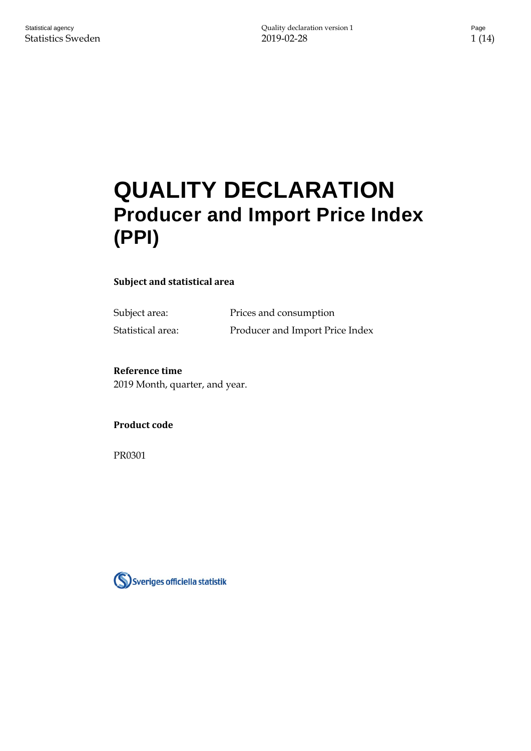# **QUALITY DECLARATION Producer and Import Price Index (PPI)**

#### **Subject and statistical area**

Subject area: Prices and consumption Statistical area: Producer and Import Price Index

#### **Reference time**

2019 Month, quarter, and year.

#### **Product code**

PR0301

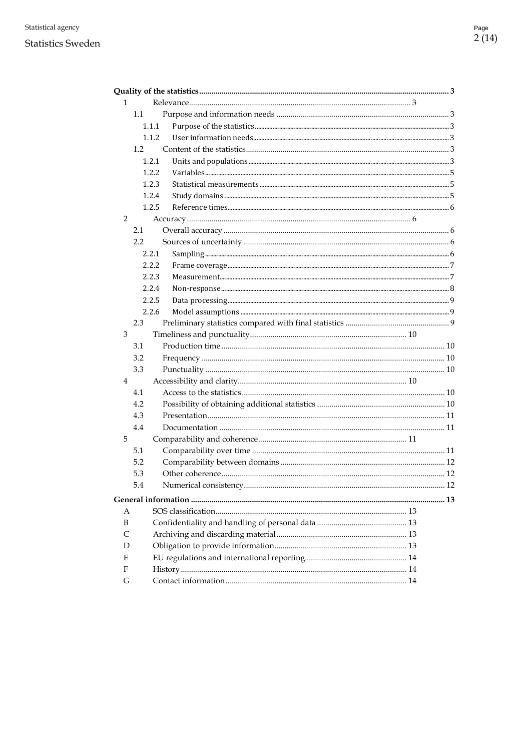#### **Statistics Sweden**

| 1 |        |  |
|---|--------|--|
|   | 1.1    |  |
|   | 1.1.1  |  |
|   | 1.1.2  |  |
|   | 1.2    |  |
|   | 1.2.1  |  |
|   | 1.2.2. |  |
|   | 1.2.3  |  |
|   | 1.2.4  |  |
|   | 1.2.5  |  |
| 2 |        |  |
|   | 2.1    |  |
|   | 2.2    |  |
|   | 2.2.1  |  |
|   | 2.2.2  |  |
|   | 2.2.3  |  |
|   | 2.2.4  |  |
|   | 2.2.5  |  |
|   | 2.2.6  |  |
|   | 2.3    |  |
| 3 |        |  |
|   | 3.1    |  |
|   | 3.2    |  |
|   | 3.3    |  |
| 4 |        |  |
|   | 4.1    |  |
|   | 4.2    |  |
|   | 4.3    |  |
|   | 4.4    |  |
| 5 |        |  |
|   | 5.1    |  |
|   | 5.2    |  |
|   | 5.3    |  |
|   | 5.4    |  |
|   |        |  |
| A |        |  |
| B |        |  |
| C |        |  |
| D |        |  |
| E |        |  |
| F |        |  |
| G |        |  |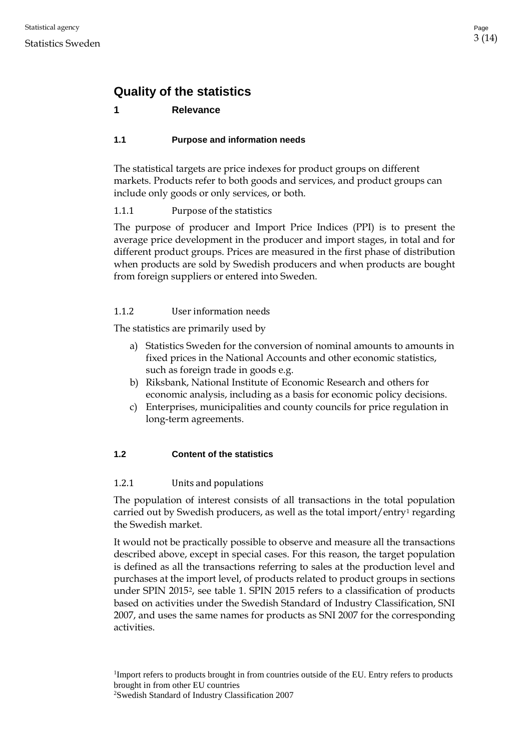# <span id="page-2-0"></span>**Quality of the statistics**

# <span id="page-2-1"></span>**1 Relevance**

# <span id="page-2-2"></span>**1.1 Purpose and information needs**

The statistical targets are price indexes for product groups on different markets. Products refer to both goods and services, and product groups can include only goods or only services, or both.

# <span id="page-2-3"></span>1.1.1 Purpose of the statistics

The purpose of producer and Import Price Indices (PPI) is to present the average price development in the producer and import stages, in total and for different product groups. Prices are measured in the first phase of distribution when products are sold by Swedish producers and when products are bought from foreign suppliers or entered into Sweden.

# <span id="page-2-4"></span>1.1.2 User information needs

The statistics are primarily used by

- a) Statistics Sweden for the conversion of nominal amounts to amounts in fixed prices in the National Accounts and other economic statistics, such as foreign trade in goods e.g.
- b) Riksbank, National Institute of Economic Research and others for economic analysis, including as a basis for economic policy decisions.
- c) Enterprises, municipalities and county councils for price regulation in long-term agreements.

# <span id="page-2-5"></span>**1.2 Content of the statistics**

# <span id="page-2-6"></span>1.2.1 Units and populations

The population of interest consists of all transactions in the total population carried out by Swedish producers, as well as the total import/entry[1](#page-2-7) regarding the Swedish market.

It would not be practically possible to observe and measure all the transactions described above, except in special cases. For this reason, the target population is defined as all the transactions referring to sales at the production level and purchases at the import level, of products related to product groups in sections under SPIN [2](#page-2-8)015<sup>2</sup>, see table 1. SPIN 2015 refers to a classification of products based on activities under the Swedish Standard of Industry Classification, SNI 2007, and uses the same names for products as SNI 2007 for the corresponding activities.

<span id="page-2-7"></span><sup>1</sup>Import refers to products brought in from countries outside of the EU. Entry refers to products brought in from other EU countries

<span id="page-2-8"></span><sup>2</sup> Swedish Standard of Industry Classification 2007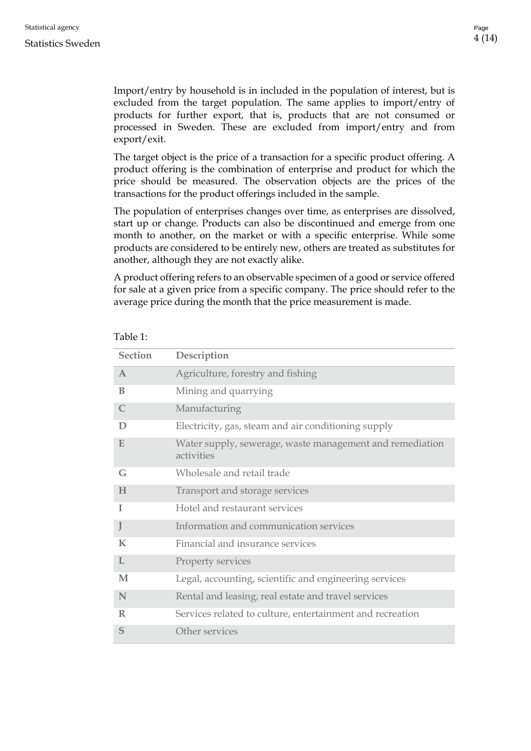#### Statistics Sweden

Import/entry by household is in included in the population of interest, but is excluded from the target population. The same applies to import/entry of products for further export, that is, products that are not consumed or processed in Sweden. These are excluded from import/entry and from export/exit.

The target object is the price of a transaction for a specific product offering. A product offering is the combination of enterprise and product for which the price should be measured. The observation objects are the prices of the transactions for the product offerings included in the sample.

The population of enterprises changes over time, as enterprises are dissolved, start up or change. Products can also be discontinued and emerge from one month to another, on the market or with a specific enterprise. While some products are considered to be entirely new, others are treated as substitutes for another, although they are not exactly alike.

A product offering refers to an observable specimen of a good or service offered for sale at a given price from a specific company. The price should refer to the average price during the month that the price measurement is made.

| <b>Section</b> | Description                                                            |  |
|----------------|------------------------------------------------------------------------|--|
| $\mathbf{A}$   | Agriculture, forestry and fishing                                      |  |
| B              | Mining and quarrying                                                   |  |
| $\mathsf{C}$   | Manufacturing                                                          |  |
| D              | Electricity, gas, steam and air conditioning supply                    |  |
| E              | Water supply, sewerage, waste management and remediation<br>activities |  |
| G              | Wholesale and retail trade                                             |  |
| H              | Transport and storage services                                         |  |
| I              | Hotel and restaurant services                                          |  |
| J              | Information and communication services                                 |  |
| $\bf K$        | Financial and insurance services                                       |  |
| L              | Property services                                                      |  |
| M              | Legal, accounting, scientific and engineering services                 |  |
| N              | Rental and leasing, real estate and travel services                    |  |
| $\mathbb{R}$   | Services related to culture, entertainment and recreation              |  |
| S              | Other services                                                         |  |

#### Table 1: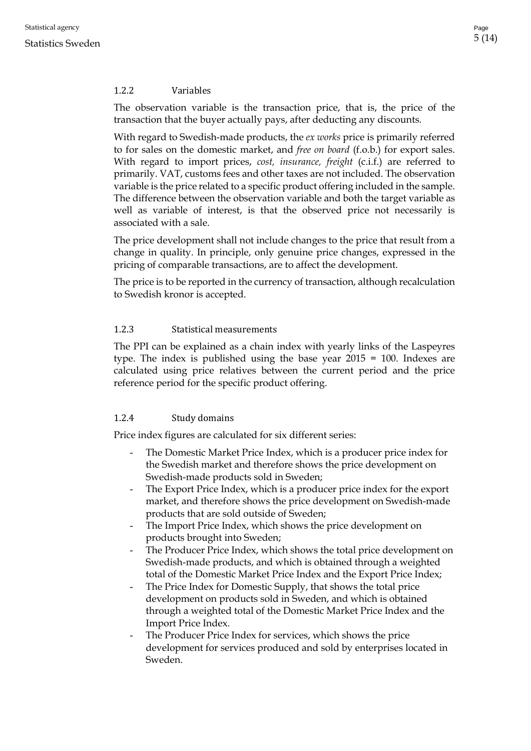## <span id="page-4-0"></span>1.2.2 Variables

The observation variable is the transaction price, that is, the price of the transaction that the buyer actually pays, after deducting any discounts.

With regard to Swedish-made products, the *ex works* price is primarily referred to for sales on the domestic market, and *free on board* (f.o.b.) for export sales. With regard to import prices, *cost, insurance, freight* (c.i.f.) are referred to primarily. VAT, customs fees and other taxes are not included. The observation variable is the price related to a specific product offering included in the sample. The difference between the observation variable and both the target variable as well as variable of interest, is that the observed price not necessarily is associated with a sale.

The price development shall not include changes to the price that result from a change in quality. In principle, only genuine price changes, expressed in the pricing of comparable transactions, are to affect the development.

The price is to be reported in the currency of transaction, although recalculation to Swedish kronor is accepted.

#### <span id="page-4-1"></span>1.2.3 Statistical measurements

The PPI can be explained as a chain index with yearly links of the Laspeyres type. The index is published using the base year 2015 = 100. Indexes are calculated using price relatives between the current period and the price reference period for the specific product offering.

# <span id="page-4-2"></span>1.2.4 Study domains

Price index figures are calculated for six different series:

- The Domestic Market Price Index, which is a producer price index for the Swedish market and therefore shows the price development on Swedish-made products sold in Sweden;
- The Export Price Index, which is a producer price index for the export market, and therefore shows the price development on Swedish-made products that are sold outside of Sweden;
- The Import Price Index, which shows the price development on products brought into Sweden;
- The Producer Price Index, which shows the total price development on Swedish-made products, and which is obtained through a weighted total of the Domestic Market Price Index and the Export Price Index;
- The Price Index for Domestic Supply, that shows the total price development on products sold in Sweden, and which is obtained through a weighted total of the Domestic Market Price Index and the Import Price Index.
- The Producer Price Index for services, which shows the price development for services produced and sold by enterprises located in Sweden.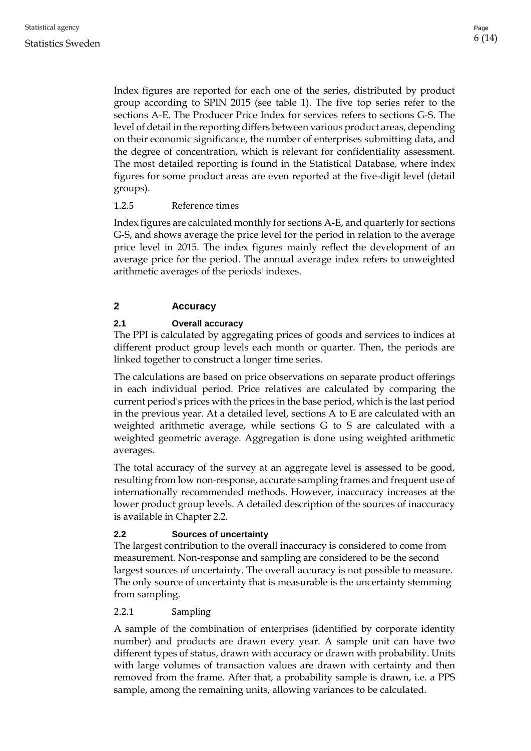Index figures are reported for each one of the series, distributed by product group according to SPIN 2015 (see table 1). The five top series refer to the sections A-E. The Producer Price Index for services refers to sections G-S. The level of detail in the reporting differs between various product areas, depending on their economic significance, the number of enterprises submitting data, and the degree of concentration, which is relevant for confidentiality assessment. The most detailed reporting is found in the Statistical Database, where index figures for some product areas are even reported at the five-digit level (detail groups).

## <span id="page-5-0"></span>1.2.5 Reference times

Index figures are calculated monthly for sections A-E, and quarterly for sections G-S, and shows average the price level for the period in relation to the average price level in 2015. The index figures mainly reflect the development of an average price for the period. The annual average index refers to unweighted arithmetic averages of the periods' indexes.

# <span id="page-5-1"></span>**2 Accuracy**

## <span id="page-5-2"></span>**2.1 Overall accuracy**

The PPI is calculated by aggregating prices of goods and services to indices at different product group levels each month or quarter. Then, the periods are linked together to construct a longer time series.

The calculations are based on price observations on separate product offerings in each individual period. Price relatives are calculated by comparing the current period's prices with the prices in the base period, which is the last period in the previous year. At a detailed level, sections A to E are calculated with an weighted arithmetic average, while sections G to S are calculated with a weighted geometric average. Aggregation is done using weighted arithmetic averages.

The total accuracy of the survey at an aggregate level is assessed to be good, resulting from low non-response, accurate sampling frames and frequent use of internationally recommended methods. However, inaccuracy increases at the lower product group levels. A detailed description of the sources of inaccuracy is available in Chapter 2.2.

#### <span id="page-5-3"></span>**2.2 Sources of uncertainty**

The largest contribution to the overall inaccuracy is considered to come from measurement. Non-response and sampling are considered to be the second largest sources of uncertainty. The overall accuracy is not possible to measure. The only source of uncertainty that is measurable is the uncertainty stemming from sampling.

#### <span id="page-5-4"></span>2.2.1 Sampling

A sample of the combination of enterprises (identified by corporate identity number) and products are drawn every year. A sample unit can have two different types of status, drawn with accuracy or drawn with probability. Units with large volumes of transaction values are drawn with certainty and then removed from the frame. After that, a probability sample is drawn, i.e. a PPS sample, among the remaining units, allowing variances to be calculated.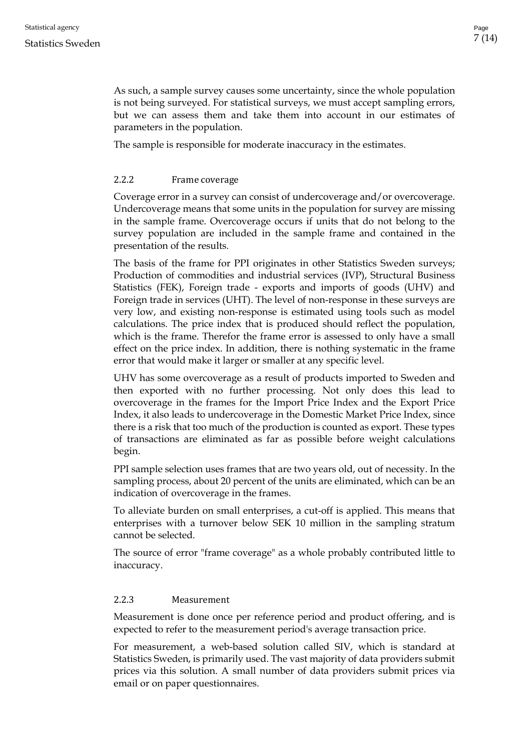As such, a sample survey causes some uncertainty, since the whole population is not being surveyed. For statistical surveys, we must accept sampling errors, but we can assess them and take them into account in our estimates of parameters in the population.

The sample is responsible for moderate inaccuracy in the estimates.

## <span id="page-6-0"></span>2.2.2 Frame coverage

Coverage error in a survey can consist of undercoverage and/or overcoverage. Undercoverage means that some units in the population for survey are missing in the sample frame. Overcoverage occurs if units that do not belong to the survey population are included in the sample frame and contained in the presentation of the results.

The basis of the frame for PPI originates in other Statistics Sweden surveys; Production of commodities and industrial services (IVP), Structural Business Statistics (FEK), Foreign trade - exports and imports of goods (UHV) and Foreign trade in services (UHT). The level of non-response in these surveys are very low, and existing non-response is estimated using tools such as model calculations. The price index that is produced should reflect the population, which is the frame. Therefor the frame error is assessed to only have a small effect on the price index. In addition, there is nothing systematic in the frame error that would make it larger or smaller at any specific level.

UHV has some overcoverage as a result of products imported to Sweden and then exported with no further processing. Not only does this lead to overcoverage in the frames for the Import Price Index and the Export Price Index, it also leads to undercoverage in the Domestic Market Price Index, since there is a risk that too much of the production is counted as export. These types of transactions are eliminated as far as possible before weight calculations begin.

PPI sample selection uses frames that are two years old, out of necessity. In the sampling process, about 20 percent of the units are eliminated, which can be an indication of overcoverage in the frames.

To alleviate burden on small enterprises, a cut-off is applied. This means that enterprises with a turnover below SEK 10 million in the sampling stratum cannot be selected.

The source of error "frame coverage" as a whole probably contributed little to inaccuracy.

#### <span id="page-6-1"></span>2.2.3 Measurement

Measurement is done once per reference period and product offering, and is expected to refer to the measurement period's average transaction price.

For measurement, a web-based solution called SIV, which is standard at Statistics Sweden, is primarily used. The vast majority of data providers submit prices via this solution. A small number of data providers submit prices via email or on paper questionnaires.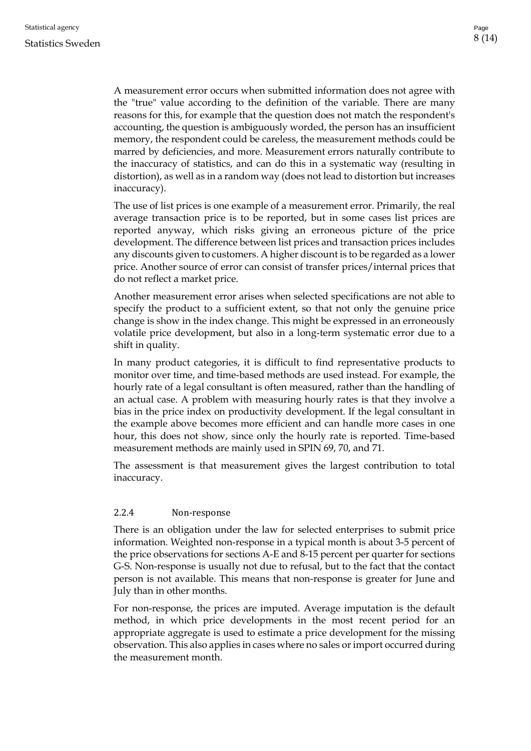A measurement error occurs when submitted information does not agree with the "true" value according to the definition of the variable. There are many reasons for this, for example that the question does not match the respondent's accounting, the question is ambiguously worded, the person has an insufficient memory, the respondent could be careless, the measurement methods could be marred by deficiencies, and more. Measurement errors naturally contribute to the inaccuracy of statistics, and can do this in a systematic way (resulting in distortion), as well as in a random way (does not lead to distortion but increases inaccuracy).

The use of list prices is one example of a measurement error. Primarily, the real average transaction price is to be reported, but in some cases list prices are reported anyway, which risks giving an erroneous picture of the price development. The difference between list prices and transaction prices includes any discounts given to customers. A higher discount is to be regarded as a lower price. Another source of error can consist of transfer prices/internal prices that do not reflect a market price.

Another measurement error arises when selected specifications are not able to specify the product to a sufficient extent, so that not only the genuine price change is show in the index change. This might be expressed in an erroneously volatile price development, but also in a long-term systematic error due to a shift in quality.

In many product categories, it is difficult to find representative products to monitor over time, and time-based methods are used instead. For example, the hourly rate of a legal consultant is often measured, rather than the handling of an actual case. A problem with measuring hourly rates is that they involve a bias in the price index on productivity development. If the legal consultant in the example above becomes more efficient and can handle more cases in one hour, this does not show, since only the hourly rate is reported. Time-based measurement methods are mainly used in SPIN 69, 70, and 71.

The assessment is that measurement gives the largest contribution to total inaccuracy.

#### <span id="page-7-0"></span>2.2.4 Non-response

There is an obligation under the law for selected enterprises to submit price information. Weighted non-response in a typical month is about 3-5 percent of the price observations for sections A-E and 8-15 percent per quarter for sections G-S. Non-response is usually not due to refusal, but to the fact that the contact person is not available. This means that non-response is greater for June and July than in other months.

For non-response, the prices are imputed. Average imputation is the default method, in which price developments in the most recent period for an appropriate aggregate is used to estimate a price development for the missing observation. This also applies in cases where no sales or import occurred during the measurement month.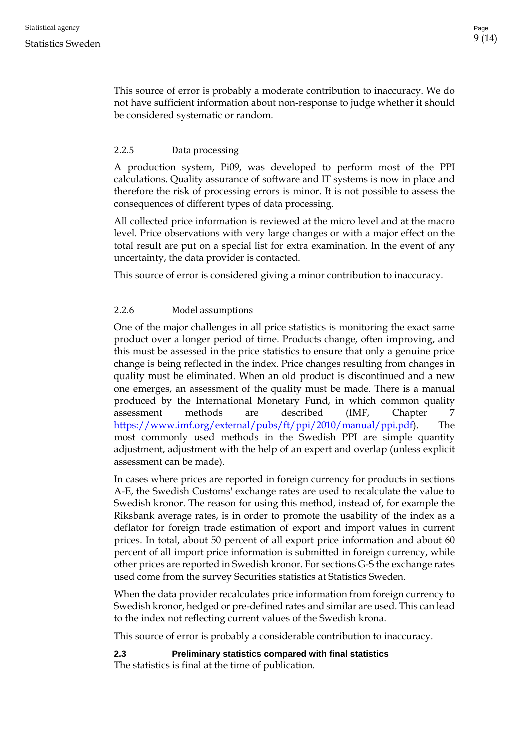This source of error is probably a moderate contribution to inaccuracy. We do not have sufficient information about non-response to judge whether it should be considered systematic or random.

## <span id="page-8-0"></span>2.2.5 Data processing

A production system, Pi09, was developed to perform most of the PPI calculations. Quality assurance of software and IT systems is now in place and therefore the risk of processing errors is minor. It is not possible to assess the consequences of different types of data processing.

All collected price information is reviewed at the micro level and at the macro level. Price observations with very large changes or with a major effect on the total result are put on a special list for extra examination. In the event of any uncertainty, the data provider is contacted.

This source of error is considered giving a minor contribution to inaccuracy.

## <span id="page-8-1"></span>2.2.6 Model assumptions

One of the major challenges in all price statistics is monitoring the exact same product over a longer period of time. Products change, often improving, and this must be assessed in the price statistics to ensure that only a genuine price change is being reflected in the index. Price changes resulting from changes in quality must be eliminated. When an old product is discontinued and a new one emerges, an assessment of the quality must be made. There is a manual produced by the International Monetary Fund, in which common quality assessment methods are described (IMF, Chapter 7 [https://www.imf.org/external/pubs/ft/ppi/2010/manual/ppi.pdf\)](https://www.imf.org/external/pubs/ft/ppi/2010/manual/ppi.pdf). The most commonly used methods in the Swedish PPI are simple quantity adjustment, adjustment with the help of an expert and overlap (unless explicit assessment can be made).

In cases where prices are reported in foreign currency for products in sections A-E, the Swedish Customs' exchange rates are used to recalculate the value to Swedish kronor. The reason for using this method, instead of, for example the Riksbank average rates, is in order to promote the usability of the index as a deflator for foreign trade estimation of export and import values in current prices. In total, about 50 percent of all export price information and about 60 percent of all import price information is submitted in foreign currency, while other prices are reported in Swedish kronor. For sections G-S the exchange rates used come from the survey Securities statistics at Statistics Sweden.

When the data provider recalculates price information from foreign currency to Swedish kronor, hedged or pre-defined rates and similar are used. This can lead to the index not reflecting current values of the Swedish krona.

This source of error is probably a considerable contribution to inaccuracy.

<span id="page-8-2"></span>**2.3 Preliminary statistics compared with final statistics**

The statistics is final at the time of publication.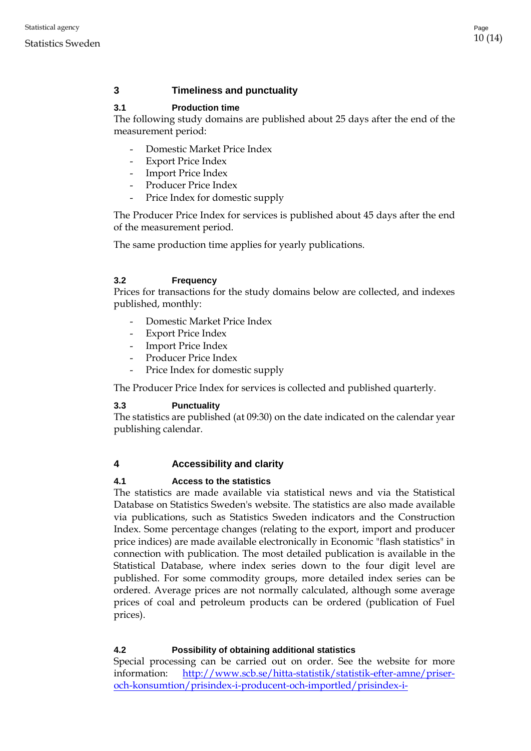# <span id="page-9-0"></span>**3 Timeliness and punctuality**

## <span id="page-9-1"></span>**3.1 Production time**

The following study domains are published about 25 days after the end of the measurement period:

- Domestic Market Price Index
- Export Price Index
- **Import Price Index**
- Producer Price Index
- Price Index for domestic supply

The Producer Price Index for services is published about 45 days after the end of the measurement period.

The same production time applies for yearly publications.

#### <span id="page-9-2"></span>**3.2 Frequency**

Prices for transactions for the study domains below are collected, and indexes published, monthly:

- Domestic Market Price Index
- Export Price Index
- Import Price Index
- Producer Price Index
- Price Index for domestic supply

The Producer Price Index for services is collected and published quarterly.

#### <span id="page-9-3"></span>**3.3 Punctuality**

The statistics are published (at 09:30) on the date indicated on the calendar year publishing calendar.

# <span id="page-9-4"></span>**4 Accessibility and clarity**

#### <span id="page-9-5"></span>**4.1 Access to the statistics**

The statistics are made available via statistical news and via the Statistical Database on Statistics Sweden's website. The statistics are also made available via publications, such as Statistics Sweden indicators and the Construction Index. Some percentage changes (relating to the export, import and producer price indices) are made available electronically in Economic "flash statistics" in connection with publication. The most detailed publication is available in the Statistical Database, where index series down to the four digit level are published. For some commodity groups, more detailed index series can be ordered. Average prices are not normally calculated, although some average prices of coal and petroleum products can be ordered (publication of Fuel prices).

# <span id="page-9-6"></span>**4.2 Possibility of obtaining additional statistics**

Special processing can be carried out on order. See the website for more information: [http://www.scb.se/hitta-statistik/statistik-efter-amne/priser](http://www.scb.se/hitta-statistik/statistik-efter-amne/priser-och-konsumtion/prisindex-i-producent-och-importled/prisindex-i-producent-och-importled-ppi/produktrelaterat/Fordjupad-information/skraddarsydd-statistik)[och-konsumtion/prisindex-i-producent-och-importled/prisindex-i-](http://www.scb.se/hitta-statistik/statistik-efter-amne/priser-och-konsumtion/prisindex-i-producent-och-importled/prisindex-i-producent-och-importled-ppi/produktrelaterat/Fordjupad-information/skraddarsydd-statistik)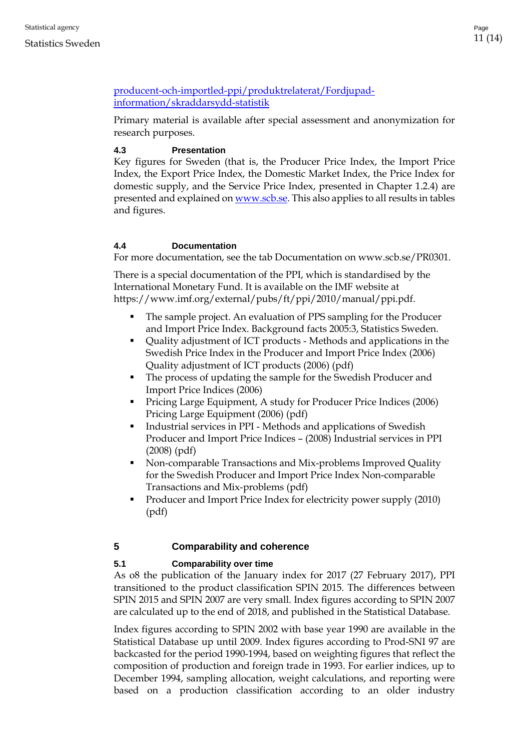# [producent-och-importled-ppi/produktrelaterat/Fordjupad](http://www.scb.se/hitta-statistik/statistik-efter-amne/priser-och-konsumtion/prisindex-i-producent-och-importled/prisindex-i-producent-och-importled-ppi/produktrelaterat/Fordjupad-information/skraddarsydd-statistik)[information/skraddarsydd-statistik](http://www.scb.se/hitta-statistik/statistik-efter-amne/priser-och-konsumtion/prisindex-i-producent-och-importled/prisindex-i-producent-och-importled-ppi/produktrelaterat/Fordjupad-information/skraddarsydd-statistik)

Primary material is available after special assessment and anonymization for research purposes.

# <span id="page-10-0"></span>**4.3 Presentation**

Key figures for Sweden (that is, the Producer Price Index, the Import Price Index, the Export Price Index, the Domestic Market Index, the Price Index for domestic supply, and the Service Price Index, presented in Chapter 1.2.4) are presented and explained o[n www.scb.se.](http://www.scb.se/) This also applies to all results in tables and figures.

# <span id="page-10-1"></span>**4.4 Documentation**

For more documentation, see the tab Documentation on www.scb.se/PR0301.

There is a special documentation of the PPI, which is standardised by the International Monetary Fund. It is available on the IMF website at https://www.imf.org/external/pubs/ft/ppi/2010/manual/ppi.pdf.

- The sample project. An evaluation of PPS sampling for the Producer and Import Price Index. Background facts 2005:3, Statistics Sweden.
- Quality adjustment of ICT products Methods and applications in the Swedish Price Index in the Producer and Import Price Index (2006) Quality adjustment of ICT products (2006) (pdf)
- The process of updating the sample for the Swedish Producer and Import Price Indices (2006)
- **Pricing Large Equipment, A study for Producer Price Indices (2006)** Pricing Large Equipment (2006) (pdf)
- Industrial services in PPI Methods and applications of Swedish Producer and Import Price Indices – (2008) Industrial services in PPI (2008) (pdf)
- Non-comparable Transactions and Mix-problems Improved Quality for the Swedish Producer and Import Price Index Non-comparable Transactions and Mix-problems (pdf)
- Producer and Import Price Index for electricity power supply (2010) (pdf)

# <span id="page-10-2"></span>**5 Comparability and coherence**

# <span id="page-10-3"></span>**5.1 Comparability over time**

As o8 the publication of the January index for 2017 (27 February 2017), PPI transitioned to the product classification SPIN 2015. The differences between SPIN 2015 and SPIN 2007 are very small. Index figures according to SPIN 2007 are calculated up to the end of 2018, and published in the Statistical Database.

Index figures according to SPIN 2002 with base year 1990 are available in the Statistical Database up until 2009. Index figures according to Prod-SNI 97 are backcasted for the period 1990-1994, based on weighting figures that reflect the composition of production and foreign trade in 1993. For earlier indices, up to December 1994, sampling allocation, weight calculations, and reporting were based on a production classification according to an older industry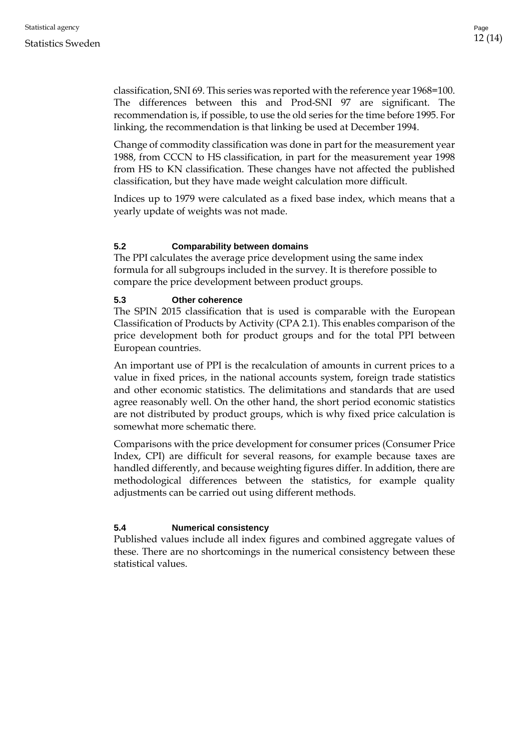classification, SNI 69. This series was reported with the reference year 1968=100. The differences between this and Prod-SNI 97 are significant. The recommendation is, if possible, to use the old series for the time before 1995. For linking, the recommendation is that linking be used at December 1994.

Change of commodity classification was done in part for the measurement year 1988, from CCCN to HS classification, in part for the measurement year 1998 from HS to KN classification. These changes have not affected the published classification, but they have made weight calculation more difficult.

Indices up to 1979 were calculated as a fixed base index, which means that a yearly update of weights was not made.

#### <span id="page-11-0"></span>**5.2 Comparability between domains**

The PPI calculates the average price development using the same index formula for all subgroups included in the survey. It is therefore possible to compare the price development between product groups.

#### <span id="page-11-1"></span>**5.3 Other coherence**

The SPIN 2015 classification that is used is comparable with the European Classification of Products by Activity (CPA 2.1). This enables comparison of the price development both for product groups and for the total PPI between European countries.

An important use of PPI is the recalculation of amounts in current prices to a value in fixed prices, in the national accounts system, foreign trade statistics and other economic statistics. The delimitations and standards that are used agree reasonably well. On the other hand, the short period economic statistics are not distributed by product groups, which is why fixed price calculation is somewhat more schematic there.

Comparisons with the price development for consumer prices (Consumer Price Index, CPI) are difficult for several reasons, for example because taxes are handled differently, and because weighting figures differ. In addition, there are methodological differences between the statistics, for example quality adjustments can be carried out using different methods.

#### <span id="page-11-2"></span>**5.4 Numerical consistency**

Published values include all index figures and combined aggregate values of these. There are no shortcomings in the numerical consistency between these statistical values.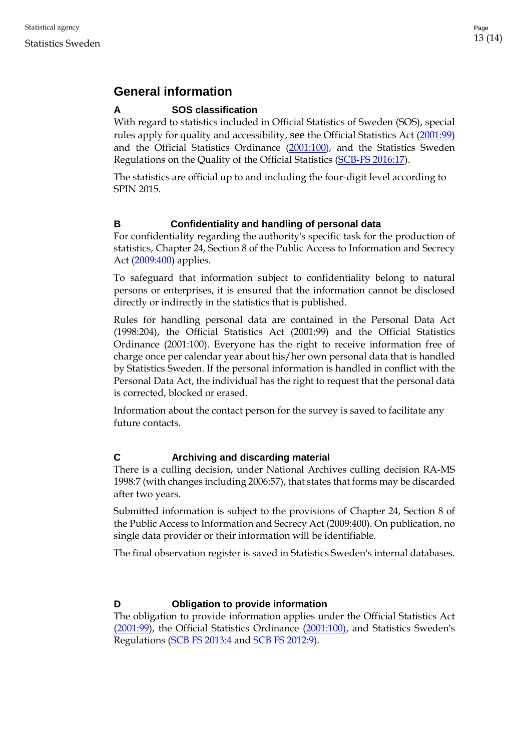# <span id="page-12-0"></span>**General information**

# <span id="page-12-1"></span>**A SOS classification**

With regard to statistics included in Official Statistics of Sweden (SOS), special rules apply for quality and accessibility, see the Official Statistics Act [\(2001:99\)](http://www.riksdagen.se/sv/Dokument-Lagar/Lagar/Svenskforfattningssamling/Lag-200199-om-den-officiell_sfs-2001-99/) and the Official Statistics Ordinance [\(2001:100\)](http://www.riksdagen.se/sv/dokument-lagar/dokument/svensk-forfattningssamling/forordning-2001100-om-den-officiella_sfs-2001-100), and the Statistics Sweden Regulations on the Quality of the Official Statistics (SCB-FS 2016:17).

The statistics are official up to and including the four-digit level according to SPIN 2015.

# <span id="page-12-2"></span>**B Confidentiality and handling of personal data**

For confidentiality regarding the authority's specific task for the production of statistics, Chapter 24, Section 8 of the [Public Access to Information and Secrecy](http://www.riksdagen.se/sv/Dokument-Lagar/Lagar/Svenskforfattningssamling/Offentlighets--och-sekretessla_sfs-2009-400/)  Act [\(2009:400\)](http://www.riksdagen.se/sv/Dokument-Lagar/Lagar/Svenskforfattningssamling/Offentlighets--och-sekretessla_sfs-2009-400/) applies.

To safeguard that information subject to confidentiality belong to natural persons or enterprises, it is ensured that the information cannot be disclosed directly or indirectly in the statistics that is published.

Rules for handling personal data are contained in the Personal Data Act (1998:204), the Official Statistics Act (2001:99) and the Official Statistics Ordinance (2001:100). Everyone has the right to receive information free of charge once per calendar year about his/her own personal data that is handled by Statistics Sweden. If the personal information is handled in conflict with the Personal Data Act, the individual has the right to request that the personal data is corrected, blocked or erased.

Information about the contact person for the survey is saved to facilitate any future contacts.

# <span id="page-12-3"></span>**C Archiving and discarding material**

There is a culling decision, under National Archives culling decision RA-MS 1998:7 (with changes including 2006:57), that states that forms may be discarded after two years.

Submitted information is subject to the provisions of Chapter 24, Section 8 of the Public Access to Information and Secrecy Act (2009:400). On publication, no single data provider or their information will be identifiable.

The final observation register is saved in Statistics Sweden's internal databases.

# <span id="page-12-4"></span>**D Obligation to provide information**

The obligation to provide information applies under the [Official Statistics Act](http://www.riksdagen.se/sv/dokument-lagar/dokument/svensk-forfattningssamling/forordning-2001100-om-den-officiella_sfs-2001-100)  (2001:99), [the Official Statistics Ordinance \(2001:100\), a](http://www.riksdagen.se/sv/dokument-lagar/dokument/svensk-forfattningssamling/forordning-2001100-om-den-officiella_sfs-2001-100)nd Statistics Sweden's Regulations (SCB FS 2013:4 and SCB FS 2012:9).